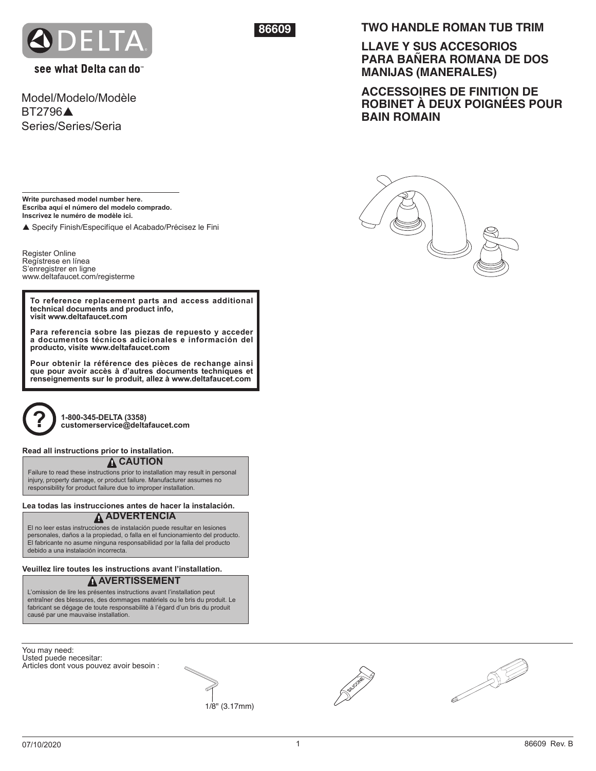

see what Delta can do

Model/Modelo/Modèle **BT2796** Series/Series/Seria

**86609**

## **TWO HANDLE ROMAN TUB TRIM**

**LLAVE Y SUS ACCESORIOS PARA BAÑERA ROMANA DE DOS MANIJAS (MANERALES)**

**ACCESSOIRES DE FINITION DE ROBINET À DEUX POIGNÉES POUR BAIN ROMAIN**

**Write purchased model number here. Escriba aquí el número del modelo comprado. Inscrivez le numéro de modèle ici.**

p Specify Finish/Especifíque el Acabado/Précisez le Fini

Register Online Regístrese en línea S'enregistrer en ligne www.deltafaucet.com/registerme

**To reference replacement parts and access additional technical documents and product info, visit www.deltafaucet.com**

**Para referencia sobre las piezas de repuesto y acceder a documentos técnicos adicionales e información del producto, visite www.deltafaucet.com** 

**Pour obtenir la référence des pièces de rechange ainsi que pour avoir accès à d'autres documents techniques et renseignements sur le produit, allez à www.deltafaucet.com**



**1-800-345-DELTA (3358) ? customerservice@deltafaucet.com**

#### **Read all instructions prior to installation.**

## **! CAUTION**

Failure to read these instructions prior to installation may result in personal injury, property damage, or product failure. Manufacturer assumes no responsibility for product failure due to improper installation.

### **! ADVERTENCIA Lea todas las instrucciones antes de hacer la instalación.**

El no leer estas instrucciones de instalación puede resultar en lesiones personales, daños a la propiedad, o falla en el funcionamiento del producto. El fabricante no asume ninguna responsabilidad por la falla del producto debido a una instalación incorrecta.

## **! AVERTISSEMENT Veuillez lire toutes les instructions avant l'installation.**

L'omission de lire les présentes instructions avant l'installation peut entraîner des blessures, des dommages matériels ou le bris du produit. Le fabricant se dégage de toute responsabilité à l'égard d'un bris du produit causé par une mauvaise installation.

You may need: Usted puede necesitar: Articles dont vous pouvez avoir besoin :





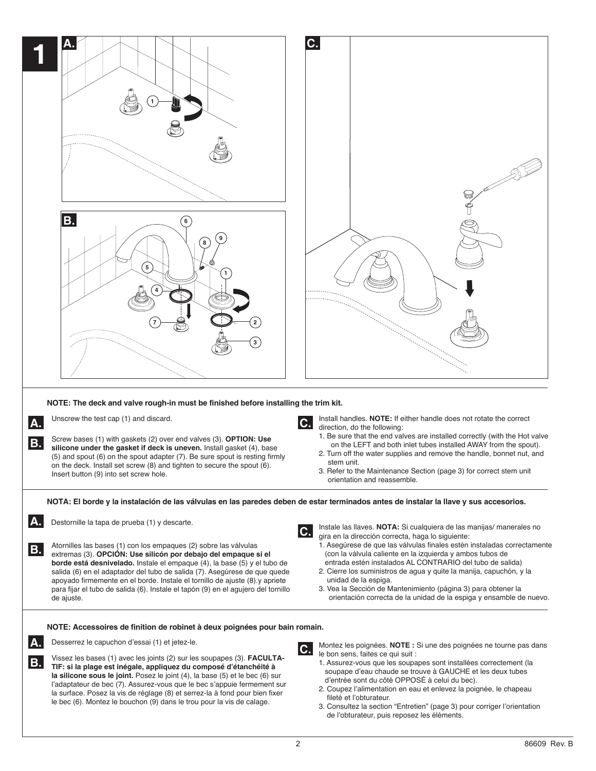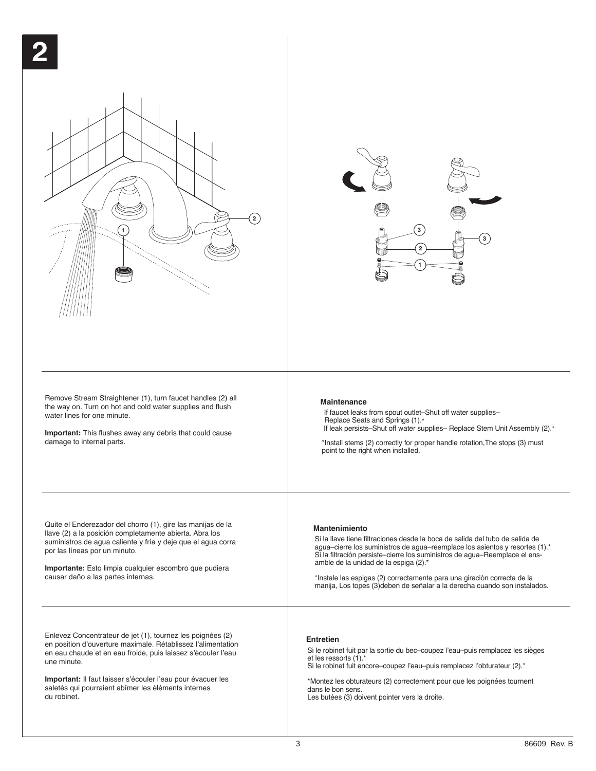